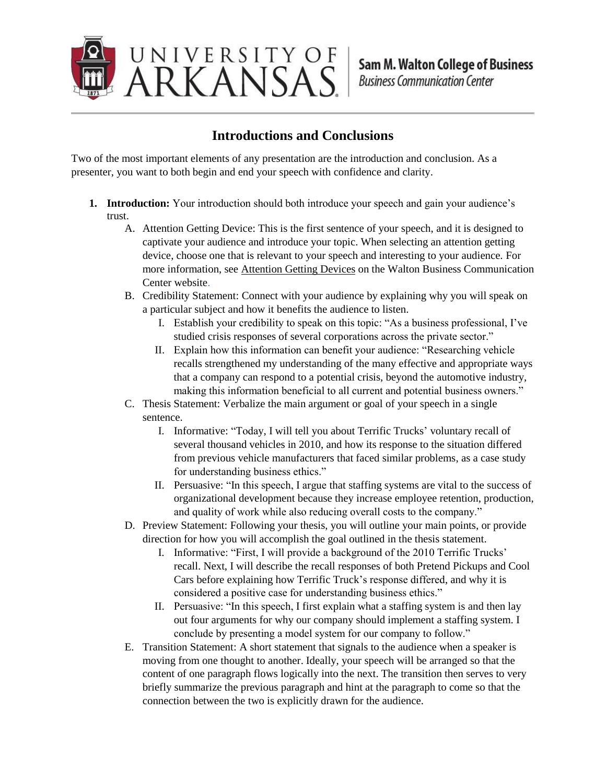

## **Introductions and Conclusions**

Two of the most important elements of any presentation are the introduction and conclusion. As a presenter, you want to both begin and end your speech with confidence and clarity.

- **1. Introduction:** Your introduction should both introduce your speech and gain your audience's trust.
	- A. Attention Getting Device: This is the first sentence of your speech, and it is designed to captivate your audience and introduce your topic. When selecting an attention getting device, choose one that is relevant to your speech and interesting to your audience. For more information, see Attention Getting Devices on the Walton Business Communication Center website.
	- B. Credibility Statement: Connect with your audience by explaining why you will speak on a particular subject and how it benefits the audience to listen.
		- I. Establish your credibility to speak on this topic: "As a business professional, I've studied crisis responses of several corporations across the private sector."
		- II. Explain how this information can benefit your audience: "Researching vehicle recalls strengthened my understanding of the many effective and appropriate ways that a company can respond to a potential crisis, beyond the automotive industry, making this information beneficial to all current and potential business owners."
	- C. Thesis Statement: Verbalize the main argument or goal of your speech in a single sentence.
		- I. Informative: "Today, I will tell you about Terrific Trucks' voluntary recall of several thousand vehicles in 2010, and how its response to the situation differed from previous vehicle manufacturers that faced similar problems, as a case study for understanding business ethics."
		- II. Persuasive: "In this speech, I argue that staffing systems are vital to the success of organizational development because they increase employee retention, production, and quality of work while also reducing overall costs to the company."
	- D. Preview Statement: Following your thesis, you will outline your main points, or provide direction for how you will accomplish the goal outlined in the thesis statement.
		- I. Informative: "First, I will provide a background of the 2010 Terrific Trucks' recall. Next, I will describe the recall responses of both Pretend Pickups and Cool Cars before explaining how Terrific Truck's response differed, and why it is considered a positive case for understanding business ethics."
		- II. Persuasive: "In this speech, I first explain what a staffing system is and then lay out four arguments for why our company should implement a staffing system. I conclude by presenting a model system for our company to follow."
	- E. Transition Statement: A short statement that signals to the audience when a speaker is moving from one thought to another. Ideally, your speech will be arranged so that the content of one paragraph flows logically into the next. The transition then serves to very briefly summarize the previous paragraph and hint at the paragraph to come so that the connection between the two is explicitly drawn for the audience.